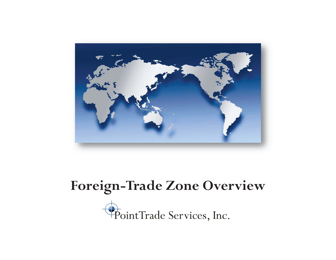

### **Foreign-Trade Zone Overview**

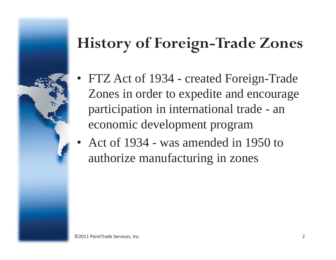### **History of Foreign-Trade Zones**

- • FTZ Act of 1934 - created Foreign-Trade Zones in order to expedite and encourage participation in international trade - an economic development program
- • Act of 1934 - was amended in 1950 to authorize manufacturing in zones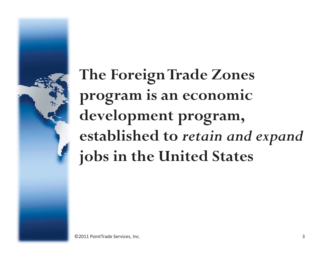**The Foreign Trade Zones program is an economic development program, established to** *retain and expand* **jobs in the United States**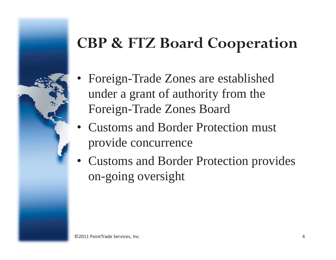### **CBP & FTZ Board Cooperation**

- • Foreign-Trade Zones are established under a grant of authority from the Foreign-Trade Zones Board
- • Customs and Border Protection must provide concurrence
- • Customs and Border Protection provides on-going oversight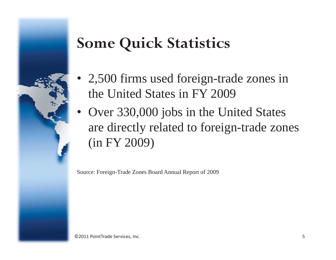### **Some Quick Statistics**

- • 2,500 firms used foreign-trade zones in the United States in FY 2009
- Over 330,000 jobs in the United States are directly related to foreign-trade zones (in FY 2009)

Source: Foreign-Trade Zones Board Annual Report of 2009

©2011 PointTrade Services, Inc. 5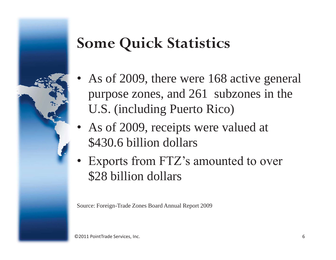### **Some Quick Statistics**

- • As of 2009, there were 168 active general purpose zones, and 261 subzones in the U.S. (including Puerto Rico)
- • As of 2009, receipts were valued at \$430.6 billion dollars
- • Exports from FTZ's amounted to over \$28 billion dollars

Source: Foreign-Trade Zones Board Annual Report 2009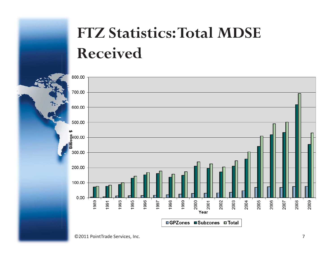## **FTZ Statistics: Total MDSE Received**



©2011 PointTrade Services, Inc. 7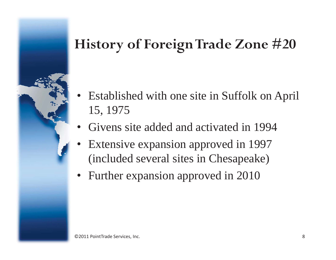### **History of Foreign Trade Zone #20**

- • Established with one site in Suffolk on April 15, 1975
- •Givens site added and activated in 1994
- • Extensive expansion approved in 1997 (included several sites in Chesapeake)
- Further expansion approved in 2010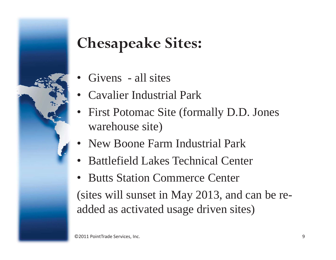# **Chesapeake Sites:**

- •Givens - all sites
- •Cavalier Industrial Park
- • First Potomac Site (formally D.D. Jones warehouse site)
- •New Boone Farm Industrial Park
- •Battlefield Lakes Technical Center
- • Butts Station Commerce Center (sites will sunset in May 2013, and can be readded as activated usage driven sites)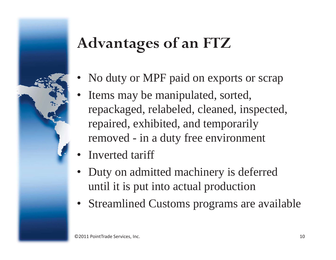# **Advantages of an FTZ**

- •No duty or MPF paid on exports or scrap
- • Items may be manipulated, sorted, repackaged, relabeled, cleaned, inspected, repaired, exhibited, and temporarily removed - in a duty free environment
- •Inverted tariff
- • Duty on admitted machinery is deferred until it is put into actual production
- Streamlined Customs programs are available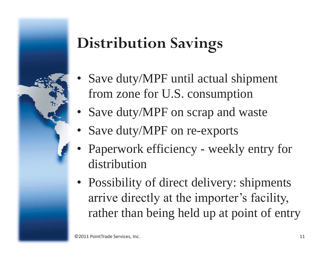# **Distribution Savings**

- • Save duty/MPF until actual shipment from zone for U.S. consumption
- Save duty/MPF on scrap and waste
- Save duty/MPF on re-exports
- • Paperwork efficiency - weekly entry for distribution
- Possibility of direct delivery: shipments arrive directly at the importer's facility, rather than being held up at point of entry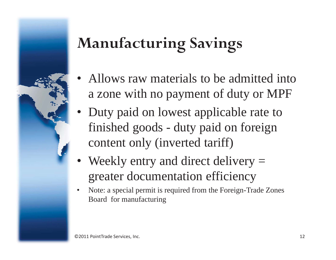# **Manufacturing Savings**

- • Allows raw materials to be admitted into a zone with no payment of duty or MPF
- Duty paid on lowest applicable rate to finished goods - duty paid on foreign content only (inverted tariff)
- •Weekly entry and direct delivery = greater documentation efficiency
- $\bullet$  Note: a special permit is required from the Foreign-Trade Zones Board for manufacturing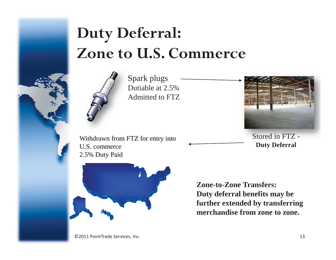## **Duty Deferral: Zone to U.S. Commerce**



Spark plugs S Dutiable at 2.5% DAdmitted to FTZ

Withdrawn from FTZ for entry into U.S. commerce 2.5% Duty Paid



**Zone-to-Zone Transfers: Duty deferral benefits may be further extended by transferring merchandise from zone to zone.** 

Stored in FTZ -

**Duty Deferral** 

©2011 PointTrade Services, Inc. 13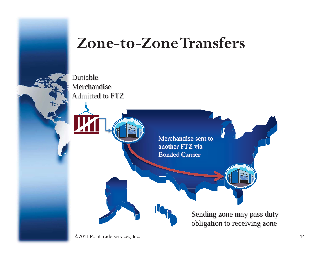

### **Zone-to-Zone Transfers**

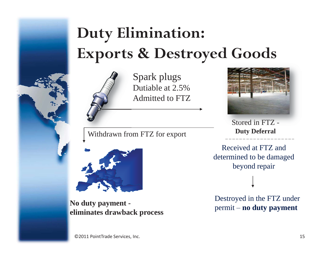## **Duty Elimination: Exports & Destroyed Goods**



Spark plugs Dutiable at 2.5% Admitted to FTZ

Withdrawn from FTZ for export **Duty Deferral** 



No duty payment -<br>
eliminates drawback process<br>  $\frac{p_{\text{SUSL}}}{p_{\text{c}}}-p_{\text{c}}$  and  $p_{\text{c}}$  and  $p_{\text{c}}$  and  $p_{\text{c}}$ 



Stored in FTZ -

Received at FTZ and determined to be damaged beyond repair

Destroyed in the FTZ under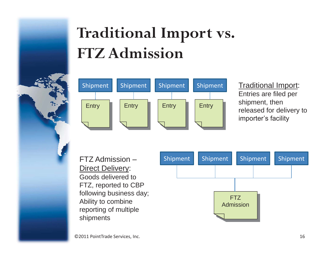## **Traditional Import vs. FTZ Admission**



#### Traditional Import: Entries are filed per shipment, then released for delivery to importer's facility

FTZ Admission –Direct Delivery: Goods delivered to FTZ, reported to CBP following business day; Ability to combine reporting of multiple shipments

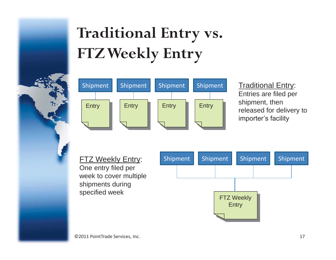# **Traditional Entry vs. FTZ Weekly Entry**



#### **Traditional Entry:** Entries are filed per shipment, then released for delivery to importer's facility

**FTZ Weekly Entry:** One entry filed per week to cover multiple shipments during specified week

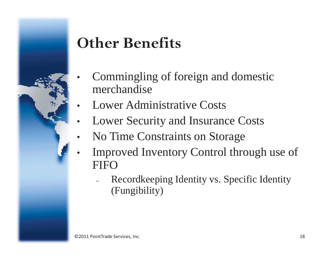### **Other Benefits**

- • Commingling of foreign and domestic merchandise
- •Lower Administrative Costs
- •Lower Security and Insurance Costs
- •No Time Constraints on Storage
- • Improved Inventory Control through use of **FIFO** 
	- Recordkeeping Identity vs. Specific Identity (Fungibility)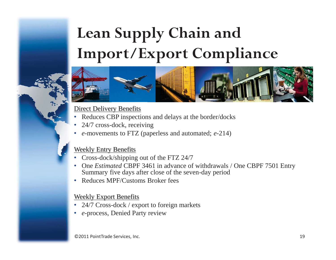## **Lean Supply Chain and Import/Export Compliance**



#### Direct Delivery Benefits

- •Reduces CBP inspections and delays at the border/docks
- •24/7 cross-dock, receiving
- •*<sup>e</sup>*-movements to FTZ (paperless and automated; *e*-214)

#### Weekly Entry Benefits

- •Cross-dock/shipping out of the FTZ 24/7
- • One *Estimated* CBPF 3461 in advance of withdrawals / One CBPF 7501 Entry Summary five days after close of the seven-day period
- •Reduces MPF/Customs Broker fees

#### Weekly Export Benefits

- •24/7 Cross-dock / export to foreign markets
- $\bullet$ *<sup>e</sup>*-process, Denied Party review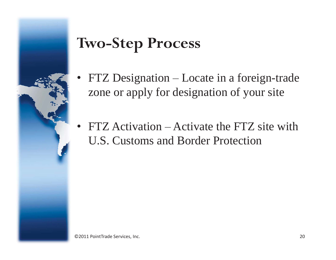### **Two-Step Process**

- • FTZ Designation – Locate in a foreign-trade zone or apply for designation of your site
- • FTZ Activation – Activate the FTZ site with U.S. Customs and Border Protection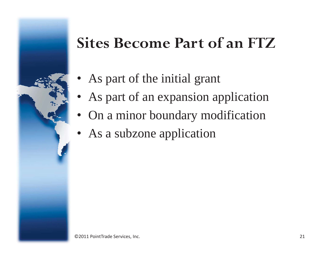### **Sites Become Part of an FTZ**

- As part of the initial grant
- As part of an expansion application
- On a minor boundary modification
- As a subzone application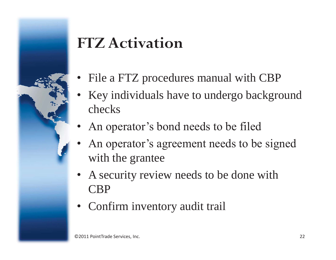### **FTZ Activation**

- •File a FTZ procedures manual with CBP
- •Key individuals have to undergo background checks
- •An operator's bond needs to be filed
- • An operator's agreement needs to be signed with the grantee
- A security review needs to be done with CBP
- Confirm inventory audit trail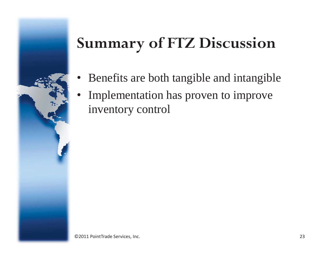## **Summary of FTZ Discussion**

- •Benefits are both tangible and intangible
- • Implementation has proven to improve inventory control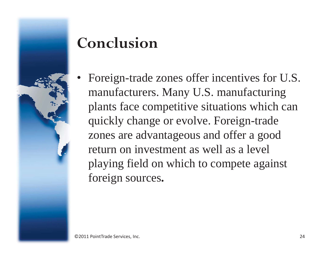

### **Conclusion**

• Foreign-trade zones offer incentives for U.S. manufacturers. Many U.S. manufacturing plants face competitive situations which can quickly change or evolve. Foreign-trade zones are advantageous and offer a good return on investment as well as a level playing field on which to compete against foreign sources**.**